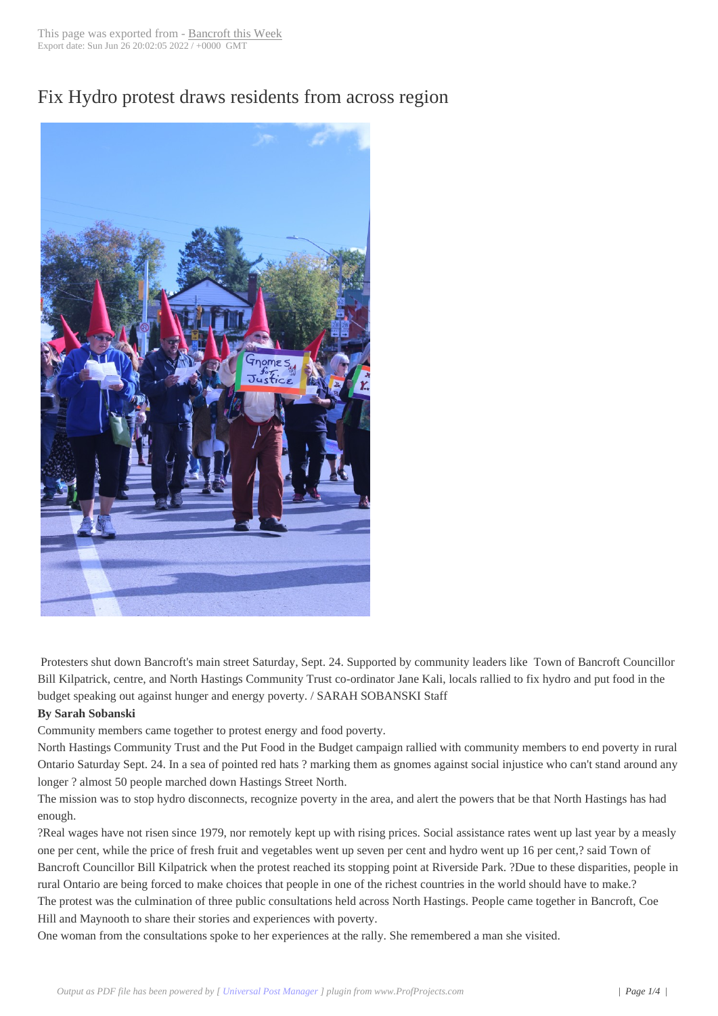## Fix Hydro protest [draws residen](http://www.bancroftthisweek.com/?p=7085)ts from across region



Protesters shut down Bancroft's main street Saturday, Sept. 24. Supported by community leaders like Town of Bancroft Councillor Bill Kilpatrick, centre, and North Hastings Community Trust co-ordinator Jane Kali, locals rallied to fix hydro and put food in the budget speaking out against hunger and energy poverty. / SARAH SOBANSKI Staff

## **By Sarah Sobanski**

Community members came together to protest energy and food poverty.

North Hastings Community Trust and the Put Food in the Budget campaign rallied with community members to end poverty in rural Ontario Saturday Sept. 24. In a sea of pointed red hats ? marking them as gnomes against social injustice who can't stand around any longer ? almost 50 people marched down Hastings Street North.

The mission was to stop hydro disconnects, recognize poverty in the area, and alert the powers that be that North Hastings has had enough.

?Real wages have not risen since 1979, nor remotely kept up with rising prices. Social assistance rates went up last year by a measly one per cent, while the price of fresh fruit and vegetables went up seven per cent and hydro went up 16 per cent,? said Town of Bancroft Councillor Bill Kilpatrick when the protest reached its stopping point at Riverside Park. ?Due to these disparities, people in rural Ontario are being forced to make choices that people in one of the richest countries in the world should have to make.? The protest was the culmination of three public consultations held across North Hastings. People came together in Bancroft, Coe Hill and Maynooth to share their stories and experiences with poverty.

One woman from the consultations spoke to her experiences at the rally. She remembered a man she visited.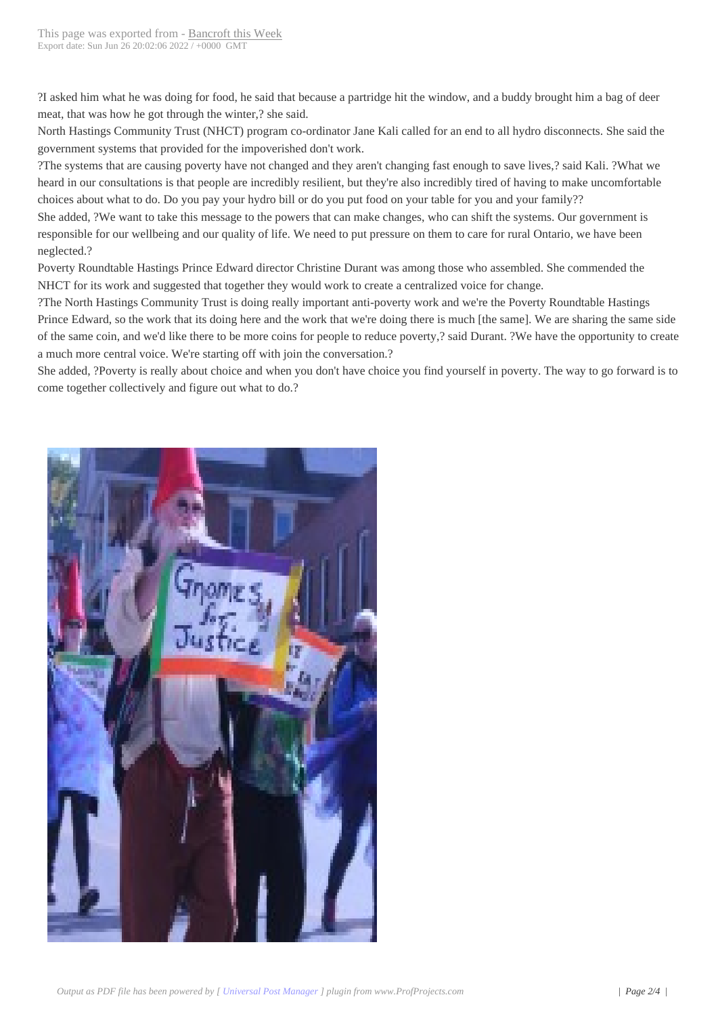?I asked him what he was doin[g for food, he said th](http://www.bancroftthisweek.com/?p=7085)at because a partridge hit the window, and a buddy brought him a bag of deer meat, that was how he got through the winter,? she said.

North Hastings Community Trust (NHCT) program co-ordinator Jane Kali called for an end to all hydro disconnects. She said the government systems that provided for the impoverished don't work.

?The systems that are causing poverty have not changed and they aren't changing fast enough to save lives,? said Kali. ?What we heard in our consultations is that people are incredibly resilient, but they're also incredibly tired of having to make uncomfortable choices about what to do. Do you pay your hydro bill or do you put food on your table for you and your family??

She added, ?We want to take this message to the powers that can make changes, who can shift the systems. Our government is responsible for our wellbeing and our quality of life. We need to put pressure on them to care for rural Ontario, we have been neglected.?

Poverty Roundtable Hastings Prince Edward director Christine Durant was among those who assembled. She commended the NHCT for its work and suggested that together they would work to create a centralized voice for change.

?The North Hastings Community Trust is doing really important anti-poverty work and we're the Poverty Roundtable Hastings Prince Edward, so the work that its doing here and the work that we're doing there is much [the same]. We are sharing the same side of the same coin, and we'd like there to be more coins for people to reduce poverty,? said Durant. ?We have the opportunity to create a much more central voice. We're starting off with join the conversation.?

She added, ?Poverty is really about choice and when you don't have choice you find yourself in poverty. The way to go forward is to come together collectively and figure out what to do.?

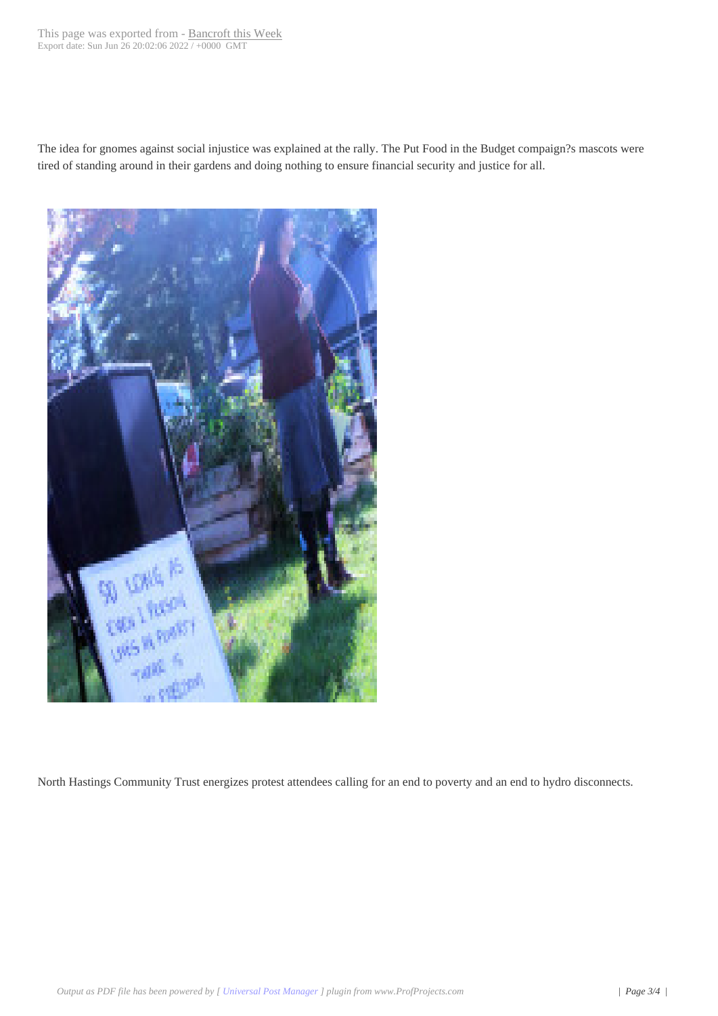The idea for gnomes against social injustice was explained at the rally. The Put Food in the Budget compaign?s mascots were tired of standing around in their gardens and doing nothing to ensure financial security and justice for all.



 North Hastings Community Trust energizes protest attendees calling for an end to poverty and an end to hydro disconnects.